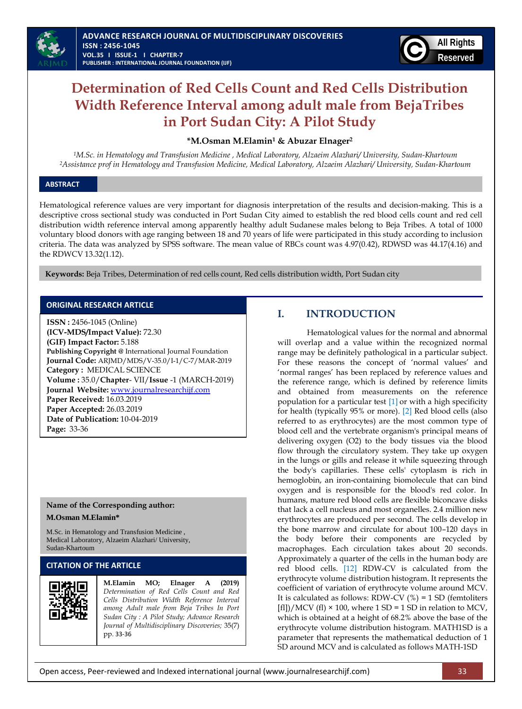

# **Determination of Red Cells Count and Red Cells Distribution Width Reference Interval among adult male from BejaTribes in Port Sudan City: A Pilot Study**

### **\*M.Osman M.Elamin<sup>1</sup> & Abuzar Elnager<sup>2</sup>**

*<sup>1</sup>M.Sc. in Hematology and Transfusion Medicine , Medical Laboratory, Alzaeim Alazhari/ University, Sudan-Khartoum <sup>2</sup>Assistance prof in Hematology and Transfusion Medicine, Medical Laboratory, Alzaeim Alazhari/ University, Sudan-Khartoum*

### **ABSTRACT**

l.

Hematological reference values are very important for diagnosis interpretation of the results and decision-making. This is a descriptive cross sectional study was conducted in Port Sudan City aimed to establish the red blood cells count and red cell distribution width reference interval among apparently healthy adult Sudanese males belong to Beja Tribes. A total of 1000 voluntary blood donors with age ranging between 18 and 70 years of life were participated in this study according to inclusion criteria. The data was analyzed by SPSS software. The mean value of RBCs count was 4.97(0.42), RDWSD was 44.17(4.16) and the RDWCV 13.32(1.12).

 **Keywords:** Beja Tribes, Determination of red cells count, Red cells distribution width, Port Sudan city

### **ORIGINAL RESEARCH ARTICLE**

**ISSN :** 2456-1045 (Online) **(ICV-MDS/Impact Value):** 72.30 **(GIF) Impact Factor:** 5.188 **Publishing Copyright @** International Journal Foundation **Journal Code:** ARJMD/MDS/V-35.0/I-1/C-7/MAR-2019 **Category :** MEDICAL SCIENCE **Volume :** 35.0/**Chapter**- VII/**Issue** -1 (MARCH-2019) **Journal Website:** [www.journalresearchijf.com](http://www.journalresearchijf.com/) **Paper Received:** 16.03.2019 **Paper Accepted:** 26.03.2019 **Date of Publication:** 10-04-2019 **Page:** 33-36

### **Name of the Corresponding author:**

#### **M.Osman M.Elamin\***

M.Sc. in Hematology and Transfusion Medicine , Medical Laboratory, Alzaeim Alazhari/ University, Sudan-Khartoum

### **CITATION OF THE ARTICLE**



**M.Elamin MO; Elnager A (2019)** *Determination of Red Cells Count and Red Cells Distribution Width Reference Interval among Adult male from Beja Tribes In Port Sudan City : A Pilot Study; Advance Research Journal of Multidisciplinary Discoveries;* 35(7) pp. 33-36

# **I. INTRODUCTION**

Hematological values for the normal and abnormal will overlap and a value within the recognized normal range may be definitely pathological in a particular subject. For these reasons the concept of 'normal values' and 'normal ranges' has been replaced by reference values and the reference range, which is defined by reference limits and obtained from measurements on the reference population for a particular test [\[1\]](#page-2-0) or with a high specificity for health (typically 95% or more). [\[2\]](#page-2-1) Red blood cells (also referred to as erythrocytes) are the most common type of blood cell and the vertebrate organism's principal means of delivering oxygen (O2) to the body tissues via the blood flow through the circulatory system. They take up oxygen in the lungs or gills and release it while squeezing through the body's capillaries. These cells' cytoplasm is rich in hemoglobin, an iron-containing biomolecule that can bind oxygen and is responsible for the blood's red color. In humans, mature red blood cells are flexible biconcave disks that lack a cell nucleus and most organelles. 2.4 million new erythrocytes are produced per second. The cells develop in the bone marrow and circulate for about 100–120 days in the body before their components are recycled by macrophages. Each circulation takes about 20 seconds. Approximately a quarter of the cells in the human body are red blood cells. [\[12\]](#page-3-0) RDW-CV is calculated from the erythrocyte volume distribution histogram. It represents the coefficient of variation of erythrocyte volume around MCV. It is calculated as follows: RDW-CV  $(\%) = 1$  SD (femtoliters [fl])/MCV (fl)  $\times$  100, where 1 SD = 1 SD in relation to MCV, which is obtained at a height of 68.2% above the base of the erythrocyte volume distribution histogram. MATH1SD is a parameter that represents the mathematical deduction of 1 SD around MCV and is calculated as follows MATH-1SD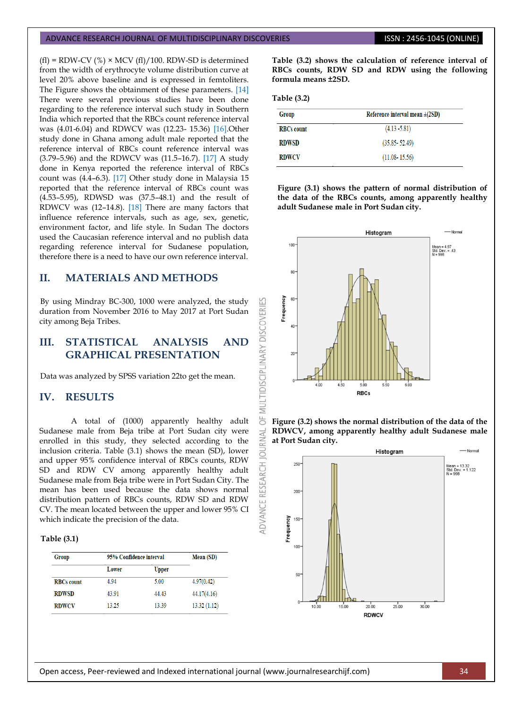#### ADVANCE RESEARCH JOURNAL OF MULTIDISCIPLINARY DISCOVERIES **ISSN : 2456-1045 (ONLINE)**

 $(f_1)$  = RDW-CV  $(\%) \times MCV$   $(f_1)/100$ . RDW-SD is determined from the width of erythrocyte volume distribution curve at level 20% above baseline and is expressed in femtoliters. The Figure shows the obtainment of these parameters. [\[14\]](#page-3-1) There were several previous studies have been done regarding to the reference interval such study in Southern India which reported that the RBCs count reference interval was (4.01-6.04) and RDWCV was (12.23- 15.36) [\[16\].](#page-3-2)Other study done in Ghana among adult male reported that the reference interval of RBCs count reference interval was (3.79–5.96) and the RDWCV was (11.5–16.7). [\[17\]](#page-3-3) A study done in Kenya reported the reference interval of RBCs count was (4.4–6.3). [\[17\]](#page-3-3) Other study done in Malaysia 15 reported that the reference interval of RBCs count was (4.53–5.95), RDWSD was (37.5–48.1) and the result of RDWCV was (12–14.8). [\[18\]](#page-3-4) There are many factors that influence reference intervals, such as age, sex, genetic, environment factor, and life style. In Sudan The doctors used the Caucasian reference interval and no publish data regarding reference interval for Sudanese population, therefore there is a need to have our own reference interval.

# **II. MATERIALS AND METHODS**

By using Mindray BC-300, 1000 were analyzed, the study duration from November 2016 to May 2017 at Port Sudan city among Beja Tribes.

# **III. STATISTICAL ANALYSIS AND GRAPHICAL PRESENTATION**

Data was analyzed by SPSS variation 22to get the mean.

# **IV. RESULTS**

A total of (1000) apparently healthy adult Sudanese male from Beja tribe at Port Sudan city were enrolled in this study, they selected according to the inclusion criteria. Table (3.1) shows the mean (SD), lower and upper 95% confidence interval of RBCs counts, RDW SD and RDW CV among apparently healthy adult Sudanese male from Beja tribe were in Port Sudan City. The mean has been used because the data shows normal distribution pattern of RBCs counts, RDW SD and RDW CV. The mean located between the upper and lower 95% CI which indicate the precision of the data.

### **Table (3.1)**

| Group             | 95% Confidence interval |              | <b>Mean</b> (SD) |
|-------------------|-------------------------|--------------|------------------|
|                   | Lower                   | <b>Upper</b> |                  |
| <b>RBCs</b> count | 4.94                    | 5.00         | 4.97(0.42)       |
| <b>RDWSD</b>      | 43.91                   | 44.43        | 44.17(4.16)      |
| <b>RDWCV</b>      | 13.25                   | 13.39        | 13.32(1.12)      |

**Table (3.2) shows the calculation of reference interval of RBCs counts, RDW SD and RDW using the following formula means ±2SD.**

**Table (3.2)**

ŏ

ADVANCE

| Group             | Reference interval mean $\pm(2SD)$ |  |
|-------------------|------------------------------------|--|
| <b>RBCs count</b> | $(4.13 - 5.81)$                    |  |
| <b>RDWSD</b>      | $(35.85 - 52.49)$                  |  |
| <b>RDWCV</b>      | $(11.08 - 15.56)$                  |  |

**Figure (3.1) shows the pattern of normal distribution of the data of the RBCs counts, among apparently healthy adult Sudanese male in Port Sudan city.**





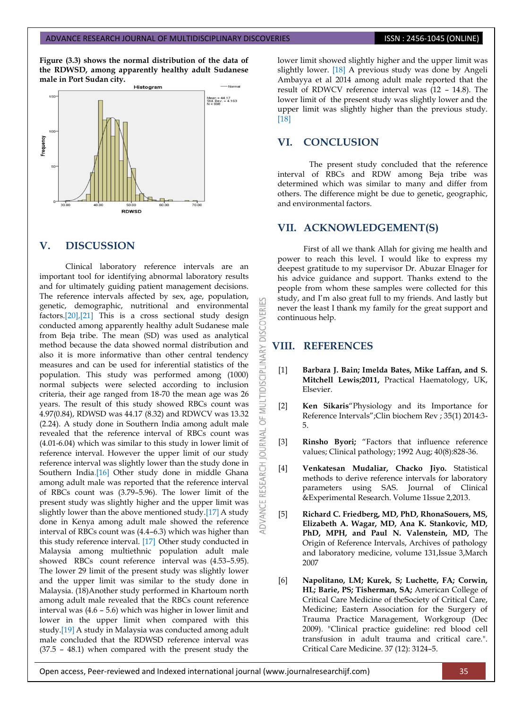**Figure (3.3) shows the normal distribution of the data of the RDWSD, among apparently healthy adult Sudanese male in Port Sudan city.**



### **V. DISCUSSION**

Clinical laboratory reference intervals are an important tool for identifying abnormal laboratory results and for ultimately guiding patient management decisions. The reference intervals affected by sex, age, population, genetic, demographic, nutritional and environmental factors[.\[20\]](#page-3-5)[,\[21\]](#page-3-6) This is a cross sectional study design conducted among apparently healthy adult Sudanese male from Beja tribe. The mean (SD) was used as analytical method because the data showed normal distribution and also it is more informative than other central tendency measures and can be used for inferential statistics of the population. This study was performed among (1000) normal subjects were selected according to inclusion criteria, their age ranged from 18-70 the mean age was 26 years. The result of this study showed RBCs count was 4.97(0.84), RDWSD was 44.17 (8.32) and RDWCV was 13.32 (2.24). A study done in Southern India among adult male revealed that the reference interval of RBCs count was (4.01-6.04) which was similar to this study in lower limit of reference interval. However the upper limit of our study reference interval was slightly lower than the study done in Southern Indi[a.\[16\]](#page-3-2) Other study done in middle Ghana among adult male was reported that the reference interval of RBCs count was (3.79–5.96). The lower limit of the present study was slightly higher and the upper limit was slightly lower than the above mentioned stud[y.\[17\]](#page-3-3) A study done in Kenya among adult male showed the reference interval of RBCs count was (4.4–6.3) which was higher than this study reference interval. [\[17\]](#page-3-3) Other study conducted in Malaysia among multiethnic population adult male showed RBCs count reference interval was (4.53–5.95). The lower 29 limit of the present study was slightly lower and the upper limit was similar to the study done in Malaysia. (18)Another study performed in Khartoum north among adult male revealed that the RBCs count reference interval was (4.6 – 5.6) which was higher in lower limit and lower in the upper limit when compared with this study[.\[19\]](#page-3-7) A study in Malaysia was conducted among adult male concluded that the RDWSD reference interval was (37.5 – 48.1) when compared with the present study the lower limit showed slightly higher and the upper limit was slightly lower. [\[18\]](#page-3-4) A previous study was done by Angeli Ambayya et al 2014 among adult male reported that the result of RDWCV reference interval was (12 – 14.8). The lower limit of the present study was slightly lower and the upper limit was slightly higher than the previous study. [\[18\]](#page-3-4)

### **VI. CONCLUSION**

The present study concluded that the reference interval of RBCs and RDW among Beja tribe was determined which was similar to many and differ from others. The difference might be due to genetic, geographic, and environmental factors.

## **VII. ACKNOWLEDGEMENT(S)**

First of all we thank Allah for giving me health and power to reach this level. I would like to express my deepest gratitude to my supervisor Dr. Abuzar Elnager for his advice guidance and support. Thanks extend to the people from whom these samples were collected for this study, and I"m also great full to my friends. And lastly but never the least I thank my family for the great support and continuous help.

### **VIII. REFERENCES**

DISCOVER

MULTIDISCIPLINA

5

**JOURNAL** 

**RESEARCH** 

- <span id="page-2-0"></span>[1] **Barbara J. Bain; Imelda Bates, Mike Laffan, and S. Mitchell Lewis;2011,** Practical Haematology, UK, Elsevier.
- <span id="page-2-1"></span>[2] **Ken Sikaris**"Physiology and its Importance for Reference Intervals";Clin biochem Rev ; 35(1) 2014:3- 5.
- [3] **Rinsho Byori;** "Factors that influence reference values; Clinical pathology; 1992 Aug; 40(8):828-36.
- [4] **Venkatesan Mudaliar, Chacko Jiyo.** Statistical methods to derive reference intervals for laboratory parameters using SAS. Journal of Clinical &Experimental Research. Volume 1Issue 2,2013.
- [5] **Richard C. Friedberg, MD, PhD, RhonaSouers, MS, Elizabeth A. Wagar, MD, Ana K. Stankovic, MD, PhD, MPH, and Paul N. Valenstein, MD,** The Origin of Reference Intervals, Archives of pathology and laboratory medicine, volume 131,Issue 3,March 2007
- [6] **Napolitano, LM; Kurek, S; Luchette, FA; Corwin, HL; Barie, PS; Tisherman, SA;** American College of Critical Care Medicine of theSociety of Critical Care, Medicine; Eastern Association for the Surgery of Trauma Practice Management, Workgroup (Dec 2009). "Clinical practice guideline: red blood cell transfusion in adult trauma and critical care.". Critical Care Medicine. 37 (12): 3124–5.

Open access, Peer-reviewed and Indexed international journal (www.journalresearchijf.com) 35